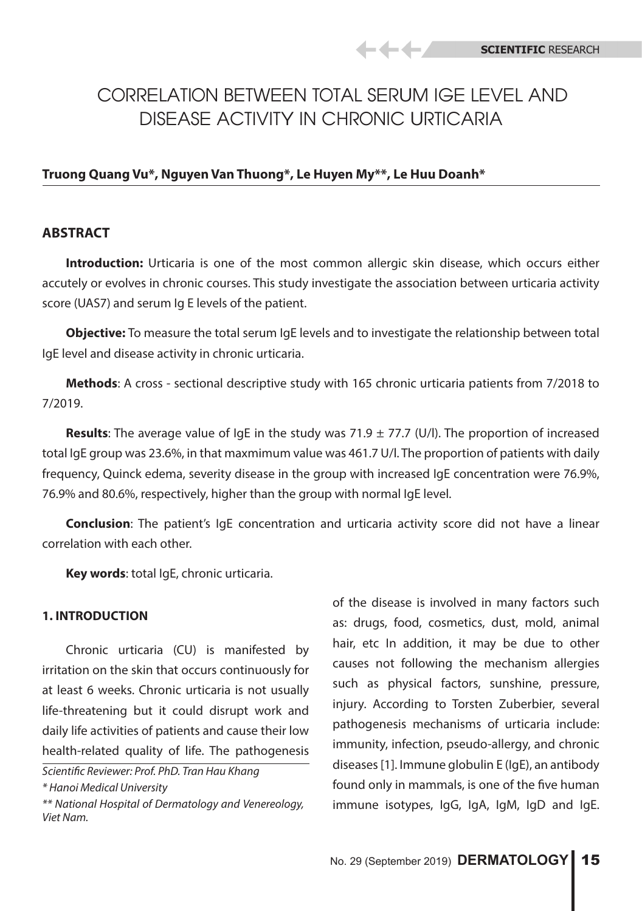# CORRELATION BETWEEN TOTAL SERUM IGE LEVEL AND DISEASE ACTIVITY IN CHRONIC URTICARIA

-44 F

# **Truong Quang Vu\*, Nguyen Van Thuong\*, Le Huyen My\*\*, Le Huu Doanh\***

# **ABSTRACT**

**Introduction:** Urticaria is one of the most common allergic skin disease, which occurs either accutely or evolves in chronic courses. This study investigate the association between urticaria activity score (UAS7) and serum Ig E levels of the patient.

**Objective:** To measure the total serum IgE levels and to investigate the relationship between total IgE level and disease activity in chronic urticaria.

**Methods**: A cross - sectional descriptive study with 165 chronic urticaria patients from 7/2018 to 7/2019.

**Results:** The average value of  $\lg E$  in the study was 71.9  $\pm$  77.7 (U/l). The proportion of increased total IgE group was 23.6%, in that maxmimum value was 461.7 U/l. The proportion of patients with daily frequency, Quinck edema, severity disease in the group with increased IgE concentration were 76.9%, 76.9% and 80.6%, respectively, higher than the group with normal IgE level.

**Conclusion**: The patient's IgE concentration and urticaria activity score did not have a linear correlation with each other.

**Key words**: total IgE, chronic urticaria.

#### **1. INTRODUCTION**

Chronic urticaria (CU) is manifested by irritation on the skin that occurs continuously for at least 6 weeks. Chronic urticaria is not usually life-threatening but it could disrupt work and daily life activities of patients and cause their low health-related quality of life. The pathogenesis

of the disease is involved in many factors such as: drugs, food, cosmetics, dust, mold, animal hair, etc In addition, it may be due to other causes not following the mechanism allergies such as physical factors, sunshine, pressure, injury. According to Torsten Zuberbier, several pathogenesis mechanisms of urticaria include: immunity, infection, pseudo-allergy, and chronic diseases [1]. Immune globulin E (IgE), an antibody found only in mammals, is one of the five human immune isotypes, IgG, IgA, IgM, IgD and IgE.

*Scientific Reviewer: Prof. PhD. Tran Hau Khang \* Hanoi Medical University* 

*<sup>\*\*</sup> National Hospital of Dermatology and Venereology, Viet Nam.*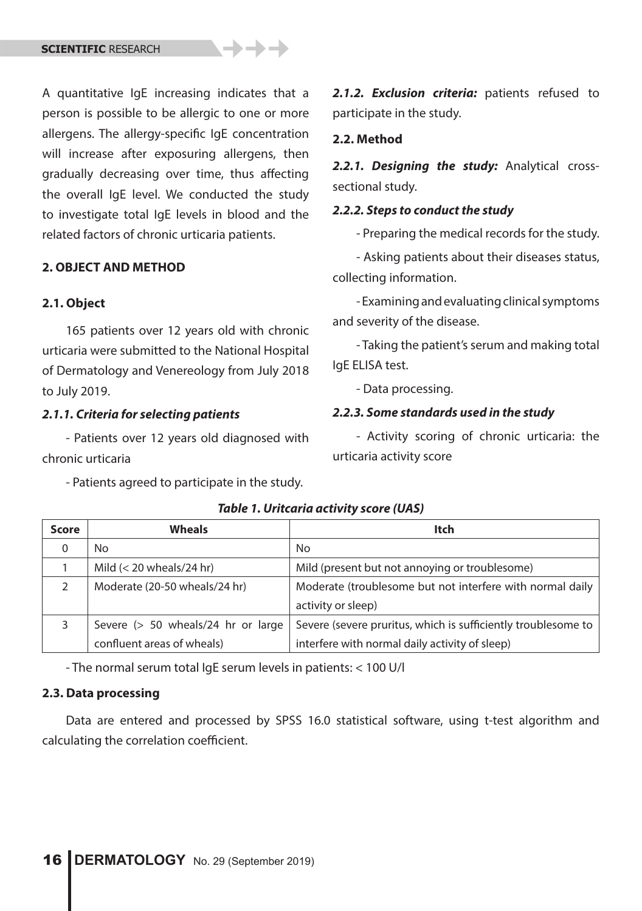A quantitative IgE increasing indicates that a person is possible to be allergic to one or more allergens. The allergy-specific IgE concentration will increase after exposuring allergens, then gradually decreasing over time, thus affecting the overall IgE level. We conducted the study to investigate total IgE levels in blood and the related factors of chronic urticaria patients.

# **2. OBJECT AND METHOD**

#### **2.1. Object**

165 patients over 12 years old with chronic urticaria were submitted to the National Hospital of Dermatology and Venereology from July 2018 to July 2019.

#### *2.1.1. Criteria for selecting patients*

- Patients over 12 years old diagnosed with chronic urticaria

- Patients agreed to participate in the study.

2.1.2. **Exclusion criteria:** patients refused to participate in the study.

## **2.2. Method**

*2.2.1. Designing the study:* Analytical crosssectional study.

#### *2.2.2. Steps to conduct the study*

- Preparing the medical records for the study.

- Asking patients about their diseases status, collecting information.

- Examining and evaluating clinical symptoms and severity of the disease.

- Taking the patient's serum and making total IgE ELISA test.

- Data processing.

#### *2.2.3. Some standards used in the study*

- Activity scoring of chronic urticaria: the urticaria activity score

| Score | <b>Wheals</b>                      | <b>Itch</b>                                                   |
|-------|------------------------------------|---------------------------------------------------------------|
| 0     | No                                 | No                                                            |
|       | Mild $(< 20$ wheals/24 hr)         | Mild (present but not annoying or troublesome)                |
|       | Moderate (20-50 wheals/24 hr)      | Moderate (troublesome but not interfere with normal daily     |
|       |                                    | activity or sleep)                                            |
|       | Severe (> 50 wheals/24 hr or large | Severe (severe pruritus, which is sufficiently troublesome to |
|       | confluent areas of wheals)         | interfere with normal daily activity of sleep)                |

*Table 1. Uritcaria activity score (UAS)*

- The normal serum total IgE serum levels in patients: < 100 U/l

## **2.3. Data processing**

Data are entered and processed by SPSS 16.0 statistical software, using t-test algorithm and calculating the correlation coefficient.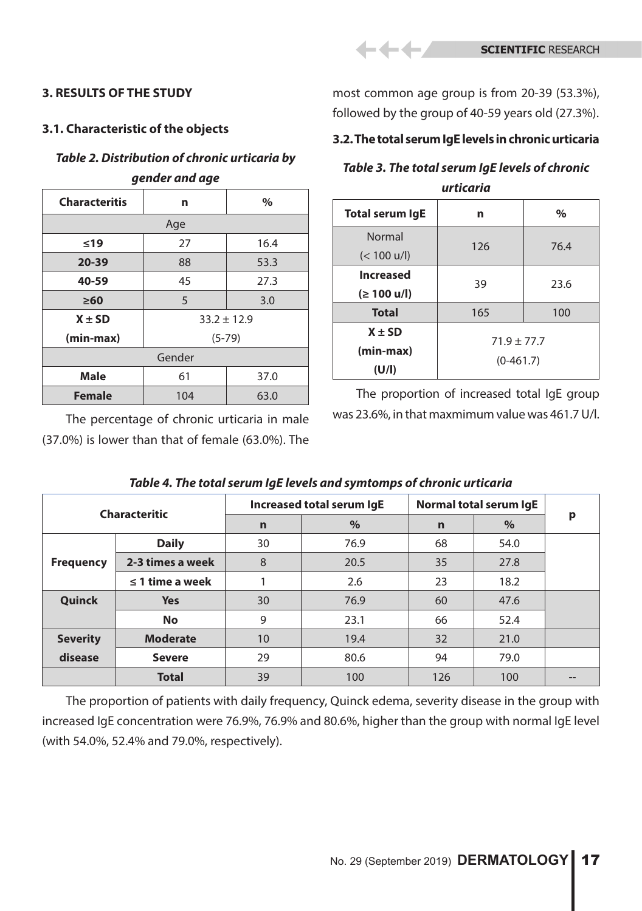# **3. RESULTS OF THE STUDY**

# **3.1. Characteristic of the objects**

# *Table 2. Distribution of chronic urticaria by gender and age*

| <b>Characteritis</b> | n               | $\%$ |  |  |
|----------------------|-----------------|------|--|--|
| Age                  |                 |      |  |  |
| $≤19$                | 27              | 16.4 |  |  |
| 20-39                | 88              | 53.3 |  |  |
| 40-59                | 45              | 27.3 |  |  |
| $\geq 60$            | 5               | 3.0  |  |  |
| $X \pm SD$           | $33.2 \pm 12.9$ |      |  |  |
| (min-max)            | $(5-79)$        |      |  |  |
| Gender               |                 |      |  |  |
| <b>Male</b>          | 61              | 37.0 |  |  |
| <b>Female</b>        | 104             | 63.0 |  |  |

The percentage of chronic urticaria in male (37.0%) is lower than that of female (63.0%). The

most common age group is from 20-39 (53.3%), followed by the group of 40-59 years old (27.3%).

## **3.2. The total serum IgE levels in chronic urticaria**

# *Table 3. The total serum IgE levels of chronic*

| urticaria                                      |                              |      |  |  |
|------------------------------------------------|------------------------------|------|--|--|
| <b>Total serum IgE</b>                         | n                            | $\%$ |  |  |
| <b>Normal</b><br>$(< 100$ u/l)                 | 126                          | 76.4 |  |  |
| <b>Increased</b><br>$( \geq 100 \text{ u/l} )$ | 39                           | 23.6 |  |  |
| <b>Total</b>                                   | 165                          | 100  |  |  |
| $X \pm SD$<br>(min-max)<br>(U/I)               | $71.9 + 77.7$<br>$(0-461.7)$ |      |  |  |

The proportion of increased total IgE group was 23.6%, in that maxmimum value was 461.7 U/l.

| <b>Characteritic</b> |                      | Increased total serum IgE |      | Normal total serum IgE |      |   |
|----------------------|----------------------|---------------------------|------|------------------------|------|---|
|                      |                      | $\mathbf n$               | $\%$ | $\mathbf n$            | $\%$ | p |
|                      | <b>Daily</b>         | 30                        | 76.9 | 68                     | 54.0 |   |
| <b>Frequency</b>     | 2-3 times a week     | 8                         | 20.5 | 35                     | 27.8 |   |
|                      | $\leq$ 1 time a week |                           | 2.6  | 23                     | 18.2 |   |
| Quinck               | <b>Yes</b>           | 30                        | 76.9 | 60                     | 47.6 |   |
|                      | <b>No</b>            | 9                         | 23.1 | 66                     | 52.4 |   |
| <b>Severity</b>      | <b>Moderate</b>      | 10                        | 19.4 | 32                     | 21.0 |   |
| disease              | <b>Severe</b>        | 29                        | 80.6 | 94                     | 79.0 |   |
|                      | <b>Total</b>         | 39                        | 100  | 126                    | 100  |   |

## *Table 4. The total serum IgE levels and symtomps of chronic urticaria*

The proportion of patients with daily frequency, Quinck edema, severity disease in the group with increased IgE concentration were 76.9%, 76.9% and 80.6%, higher than the group with normal IgE level (with 54.0%, 52.4% and 79.0%, respectively).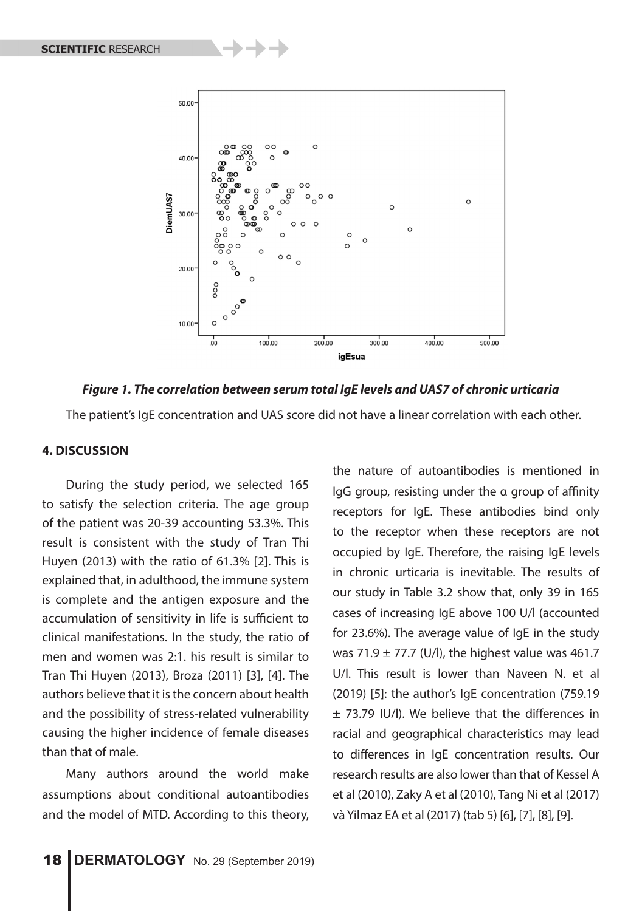

*Figure 1. The correlation between serum total IgE levels and UAS7 of chronic urticaria*

The patient's IgE concentration and UAS score did not have a linear correlation with each other.

#### **4. DISCUSSION**

During the study period, we selected 165 to satisfy the selection criteria. The age group of the patient was 20-39 accounting 53.3%. This result is consistent with the study of Tran Thi Huyen (2013) with the ratio of 61.3% [2]. This is explained that, in adulthood, the immune system is complete and the antigen exposure and the accumulation of sensitivity in life is sufficient to clinical manifestations. In the study, the ratio of men and women was 2:1. his result is similar to Tran Thi Huyen (2013), Broza (2011) [3], [4]. The authors believe that it is the concern about health and the possibility of stress-related vulnerability causing the higher incidence of female diseases than that of male.

Many authors around the world make assumptions about conditional autoantibodies and the model of MTD. According to this theory,

the nature of autoantibodies is mentioned in IgG group, resisting under the α group of affinity receptors for IgE. These antibodies bind only to the receptor when these receptors are not occupied by IgE. Therefore, the raising IgE levels in chronic urticaria is inevitable. The results of our study in Table 3.2 show that, only 39 in 165 cases of increasing IgE above 100 U/l (accounted for 23.6%). The average value of IgE in the study was 71.9  $\pm$  77.7 (U/l), the highest value was 461.7 U/l. This result is lower than Naveen N. et al (2019) [5]: the author's IgE concentration (759.19 ± 73.79 IU/l). We believe that the differences in racial and geographical characteristics may lead to differences in IgE concentration results. Our research results are also lower than that of Kessel A et al (2010), Zaky A et al (2010), Tang Ni et al (2017) và Yilmaz EA et al (2017) (tab 5) [6], [7], [8], [9].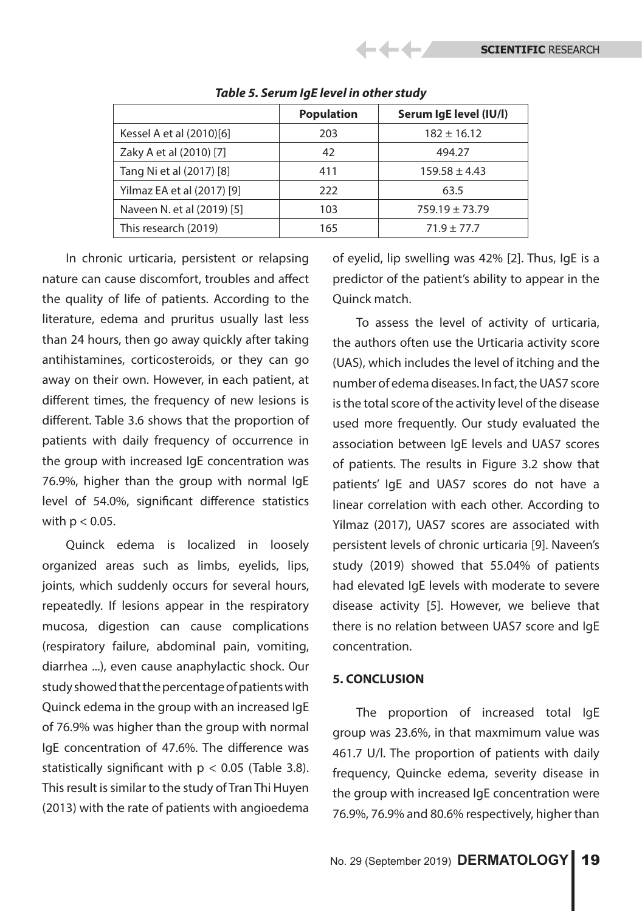|                            | <b>Population</b> | Serum IgE level (IU/I) |
|----------------------------|-------------------|------------------------|
| Kessel A et al (2010)[6]   | 203               | $182 \pm 16.12$        |
| Zaky A et al (2010) [7]    | 42                | 494.27                 |
| Tang Ni et al (2017) [8]   | 411               | $159.58 \pm 4.43$      |
| Yilmaz EA et al (2017) [9] | 222               | 63.5                   |
| Naveen N. et al (2019) [5] | 103               | $759.19 \pm 73.79$     |
| This research (2019)       | 165               | $71.9 \pm 77.7$        |

## *Table 5. Serum IgE level in other study*

-4 4

In chronic urticaria, persistent or relapsing nature can cause discomfort, troubles and affect the quality of life of patients. According to the literature, edema and pruritus usually last less than 24 hours, then go away quickly after taking antihistamines, corticosteroids, or they can go away on their own. However, in each patient, at different times, the frequency of new lesions is different. Table 3.6 shows that the proportion of patients with daily frequency of occurrence in the group with increased IgE concentration was 76.9%, higher than the group with normal IgE level of 54.0%, significant difference statistics with  $p < 0.05$ .

Quinck edema is localized in loosely organized areas such as limbs, eyelids, lips, joints, which suddenly occurs for several hours, repeatedly. If lesions appear in the respiratory mucosa, digestion can cause complications (respiratory failure, abdominal pain, vomiting, diarrhea ...), even cause anaphylactic shock. Our study showed that the percentage of patients with Quinck edema in the group with an increased IgE of 76.9% was higher than the group with normal IgE concentration of 47.6%. The difference was statistically significant with  $p < 0.05$  (Table 3.8). This result is similar to the study of Tran Thi Huyen (2013) with the rate of patients with angioedema

of eyelid, lip swelling was 42% [2]. Thus, IgE is a predictor of the patient's ability to appear in the Quinck match.

To assess the level of activity of urticaria, the authors often use the Urticaria activity score (UAS), which includes the level of itching and the number of edema diseases. In fact, the UAS7 score is the total score of the activity level of the disease used more frequently. Our study evaluated the association between IgE levels and UAS7 scores of patients. The results in Figure 3.2 show that patients' IgE and UAS7 scores do not have a linear correlation with each other. According to Yilmaz (2017), UAS7 scores are associated with persistent levels of chronic urticaria [9]. Naveen's study (2019) showed that 55.04% of patients had elevated IgE levels with moderate to severe disease activity [5]. However, we believe that there is no relation between UAS7 score and IgE concentration.

## **5. CONCLUSION**

The proportion of increased total IgE group was 23.6%, in that maxmimum value was 461.7 U/l. The proportion of patients with daily frequency, Quincke edema, severity disease in the group with increased IgE concentration were 76.9%, 76.9% and 80.6% respectively, higher than